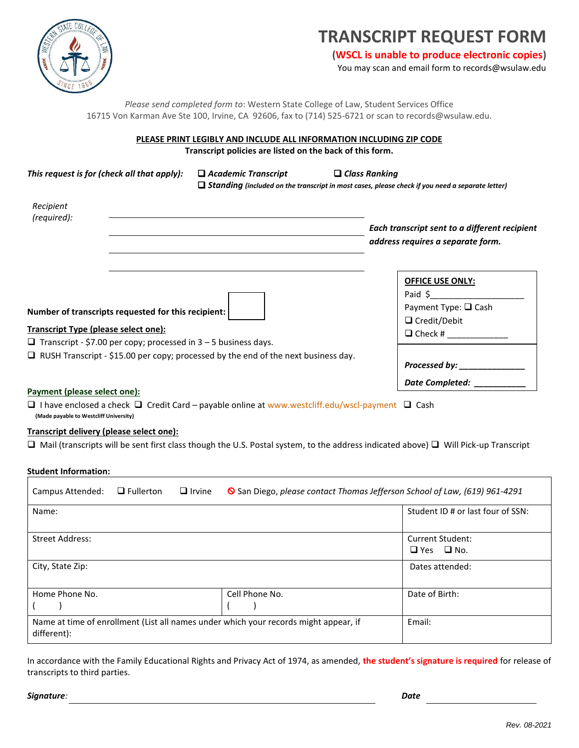

# **TRANSCRIPT REQUEST FORM**

**(WSCL is unable to produce electronic copies)**

You may scan and email form to records@wsulaw.edu

*Please send completed form to*: Western State College of Law, Student Services Office 16715 Von Karman Ave Ste 100, Irvine, CA 92606, fax to (714) 525-6721 or scan to records@wsulaw.edu.

#### **PLEASE PRINT LEGIBLY AND INCLUDE ALL INFORMATION INCLUDING ZIP CODE Transcript policies are listed on the back of this form.**

| This request is for (check all that apply):                                                                                                                                  | $\Box$ Academic Transcript<br>$\Box$ Standing (included on the transcript in most cases, please check if you need a separate letter) | $\Box$ Class Ranking                                                                                     |
|------------------------------------------------------------------------------------------------------------------------------------------------------------------------------|--------------------------------------------------------------------------------------------------------------------------------------|----------------------------------------------------------------------------------------------------------|
| Recipient<br>(required):                                                                                                                                                     |                                                                                                                                      | Each transcript sent to a different recipient<br>address requires a separate form.                       |
| Number of transcripts requested for this recipient:<br><b>Transcript Type (please select one):</b><br>$\Box$ Transcript - \$7.00 per copy; processed in 3 – 5 business days. |                                                                                                                                      | <b>OFFICE USE ONLY:</b><br>Paid \$<br>Payment Type: $\Box$ Cash<br>$\Box$ Credit/Debit<br>$\Box$ Check # |
| $\Box$ RUSH Transcript - \$15.00 per copy; processed by the end of the next business day.                                                                                    | Processed by: <u>New York Banders</u><br>Date Completed: __                                                                          |                                                                                                          |

### **Payment (please select one):**

 $\Box$  I have enclosed a check  $\Box$  Credit Card – payable online at [www.westcliff.edu/wscl-payment](http://www.westcliff.edu/wscl-payment)  $\Box$  Cash  **(Made payable to Westcliff University)**

#### **Transcript delivery (please select one):**

 $\Box$  Mail (transcripts will be sent first class though the U.S. Postal system, to the address indicated above)  $\Box$  Will Pick-up Transcript

#### **Student Information:**

| Campus Attended:                                                                                    | $\Box$ Fullerton | $\Box$ Irvine | San Diego, please contact Thomas Jefferson School of Law, (619) 961-4291 |                                           |
|-----------------------------------------------------------------------------------------------------|------------------|---------------|--------------------------------------------------------------------------|-------------------------------------------|
| Name:                                                                                               |                  |               |                                                                          | Student ID # or last four of SSN:         |
| <b>Street Address:</b>                                                                              |                  |               |                                                                          | Current Student:<br>$\Box$ Yes $\Box$ No. |
| City, State Zip:                                                                                    |                  |               |                                                                          | Dates attended:                           |
| Home Phone No.                                                                                      |                  |               | Cell Phone No.                                                           | Date of Birth:                            |
| Name at time of enrollment (List all names under which your records might appear, if<br>different): |                  |               | Email:                                                                   |                                           |

In accordance with the Family Educational Rights and Privacy Act of 1974, as amended, **the student's signature is required** for release of transcripts to third parties.

*Signature: Date*